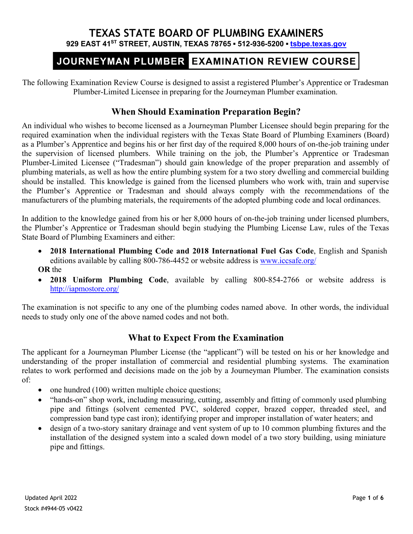## **TEXAS STATE BOARD OF PLUMBING EXAMINERS 929 EAST 41ST STREET, AUSTIN, TEXAS 78765 ▪ 512-936-5200 ▪ [tsbpe.texas.gov](http://www.tsbpe.texas.gov/)**

# JOURNEYMAN PLUMBER EXAMINATION REVIEW COURSE

The following Examination Review Course is designed to assist a registered Plumber's Apprentice or Tradesman Plumber-Limited Licensee in preparing for the Journeyman Plumber examination.

## **When Should Examination Preparation Begin?**

An individual who wishes to become licensed as a Journeyman Plumber Licensee should begin preparing for the required examination when the individual registers with the Texas State Board of Plumbing Examiners (Board) as a Plumber's Apprentice and begins his or her first day of the required 8,000 hours of on-the-job training under the supervision of licensed plumbers. While training on the job, the Plumber's Apprentice or Tradesman Plumber-Limited Licensee ("Tradesman") should gain knowledge of the proper preparation and assembly of plumbing materials, as well as how the entire plumbing system for a two story dwelling and commercial building should be installed. This knowledge is gained from the licensed plumbers who work with, train and supervise the Plumber's Apprentice or Tradesman and should always comply with the recommendations of the manufacturers of the plumbing materials, the requirements of the adopted plumbing code and local ordinances.

In addition to the knowledge gained from his or her 8,000 hours of on-the-job training under licensed plumbers, the Plumber's Apprentice or Tradesman should begin studying the Plumbing License Law, rules of the Texas State Board of Plumbing Examiners and either:

- **2018 International Plumbing Code and 2018 International Fuel Gas Code**, English and Spanish editions available by calling 800-786-4452 or website address is [www.iccsafe.org/](http://www.iccsafe.org/) **OR** the
- **2018 Uniform Plumbing Code**, available by calling 800-854-2766 or website address is <http://iapmostore.org/>

The examination is not specific to any one of the plumbing codes named above. In other words, the individual needs to study only one of the above named codes and not both.

## **What to Expect From the Examination**

The applicant for a Journeyman Plumber License (the "applicant") will be tested on his or her knowledge and understanding of the proper installation of commercial and residential plumbing systems. The examination relates to work performed and decisions made on the job by a Journeyman Plumber. The examination consists of:

- one hundred (100) written multiple choice questions;
- "hands-on" shop work, including measuring, cutting, assembly and fitting of commonly used plumbing pipe and fittings (solvent cemented PVC, soldered copper, brazed copper, threaded steel, and compression band type cast iron); identifying proper and improper installation of water heaters; and
- design of a two-story sanitary drainage and vent system of up to 10 common plumbing fixtures and the installation of the designed system into a scaled down model of a two story building, using miniature pipe and fittings.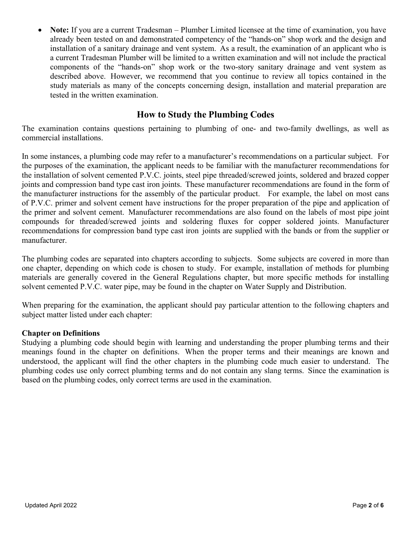• **Note:** If you are a current Tradesman – Plumber Limited licensee at the time of examination, you have already been tested on and demonstrated competency of the "hands-on" shop work and the design and installation of a sanitary drainage and vent system. As a result, the examination of an applicant who is a current Tradesman Plumber will be limited to a written examination and will not include the practical components of the "hands-on" shop work or the two-story sanitary drainage and vent system as described above. However, we recommend that you continue to review all topics contained in the study materials as many of the concepts concerning design, installation and material preparation are tested in the written examination.

## **How to Study the Plumbing Codes**

The examination contains questions pertaining to plumbing of one- and two-family dwellings, as well as commercial installations.

In some instances, a plumbing code may refer to a manufacturer's recommendations on a particular subject. For the purposes of the examination, the applicant needs to be familiar with the manufacturer recommendations for the installation of solvent cemented P.V.C. joints, steel pipe threaded/screwed joints, soldered and brazed copper joints and compression band type cast iron joints. These manufacturer recommendations are found in the form of the manufacturer instructions for the assembly of the particular product. For example, the label on most cans of P.V.C. primer and solvent cement have instructions for the proper preparation of the pipe and application of the primer and solvent cement. Manufacturer recommendations are also found on the labels of most pipe joint compounds for threaded/screwed joints and soldering fluxes for copper soldered joints. Manufacturer recommendations for compression band type cast iron joints are supplied with the bands or from the supplier or manufacturer.

The plumbing codes are separated into chapters according to subjects. Some subjects are covered in more than one chapter, depending on which code is chosen to study. For example, installation of methods for plumbing materials are generally covered in the General Regulations chapter, but more specific methods for installing solvent cemented P.V.C. water pipe, may be found in the chapter on Water Supply and Distribution.

When preparing for the examination, the applicant should pay particular attention to the following chapters and subject matter listed under each chapter:

#### **Chapter on Definitions**

Studying a plumbing code should begin with learning and understanding the proper plumbing terms and their meanings found in the chapter on definitions. When the proper terms and their meanings are known and understood, the applicant will find the other chapters in the plumbing code much easier to understand. The plumbing codes use only correct plumbing terms and do not contain any slang terms. Since the examination is based on the plumbing codes, only correct terms are used in the examination.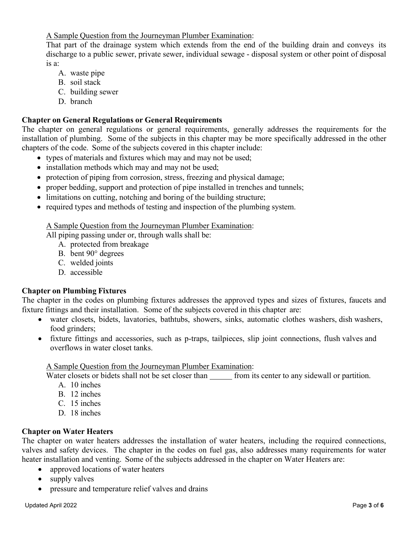A Sample Question from the Journeyman Plumber Examination:

That part of the drainage system which extends from the end of the building drain and conveys its discharge to a public sewer, private sewer, individual sewage - disposal system or other point of disposal is a:

- A. waste pipe
- B. soil stack
- C. building sewer
- D. branch

#### **Chapter on General Regulations or General Requirements**

The chapter on general regulations or general requirements, generally addresses the requirements for the installation of plumbing. Some of the subjects in this chapter may be more specifically addressed in the other chapters of the code. Some of the subjects covered in this chapter include:

- types of materials and fixtures which may and may not be used;
- installation methods which may and may not be used;
- protection of piping from corrosion, stress, freezing and physical damage;
- proper bedding, support and protection of pipe installed in trenches and tunnels;
- limitations on cutting, notching and boring of the building structure;
- required types and methods of testing and inspection of the plumbing system.

A Sample Question from the Journeyman Plumber Examination:

All piping passing under or, through walls shall be:

- A. protected from breakage
- B. bent 90° degrees
- C. welded joints
- D. accessible

### **Chapter on Plumbing Fixtures**

The chapter in the codes on plumbing fixtures addresses the approved types and sizes of fixtures, faucets and fixture fittings and their installation. Some of the subjects covered in this chapter are:

- water closets, bidets, lavatories, bathtubs, showers, sinks, automatic clothes washers, dish washers, food grinders;
- fixture fittings and accessories, such as p-traps, tailpieces, slip joint connections, flush valves and overflows in water closet tanks.

A Sample Question from the Journeyman Plumber Examination:

Water closets or bidets shall not be set closer than from its center to any sidewall or partition.

- A. 10 inches
- B. 12 inches
- C. 15 inches
- D. 18 inches

### **Chapter on Water Heaters**

The chapter on water heaters addresses the installation of water heaters, including the required connections, valves and safety devices. The chapter in the codes on fuel gas, also addresses many requirements for water heater installation and venting. Some of the subjects addressed in the chapter on Water Heaters are:

- approved locations of water heaters
- supply valves
- pressure and temperature relief valves and drains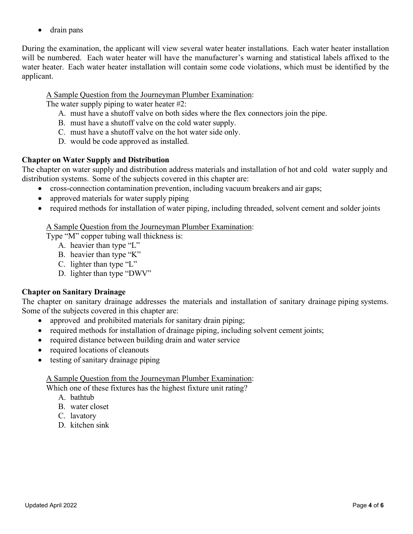• drain pans

During the examination, the applicant will view several water heater installations. Each water heater installation will be numbered. Each water heater will have the manufacturer's warning and statistical labels affixed to the water heater. Each water heater installation will contain some code violations, which must be identified by the applicant.

### A Sample Question from the Journeyman Plumber Examination:

The water supply piping to water heater #2:

- A. must have a shutoff valve on both sides where the flex connectors join the pipe.
- B. must have a shutoff valve on the cold water supply.
- C. must have a shutoff valve on the hot water side only.
- D. would be code approved as installed.

## **Chapter on Water Supply and Distribution**

The chapter on water supply and distribution address materials and installation of hot and cold water supply and distribution systems. Some of the subjects covered in this chapter are:

- cross-connection contamination prevention, including vacuum breakers and air gaps;
- approved materials for water supply piping
- required methods for installation of water piping, including threaded, solvent cement and solder joints

### A Sample Question from the Journeyman Plumber Examination:

Type "M" copper tubing wall thickness is:

- A. heavier than type "L"
- B. heavier than type "K"
- C. lighter than type "L"
- D. lighter than type "DWV"

## **Chapter on Sanitary Drainage**

The chapter on sanitary drainage addresses the materials and installation of sanitary drainage piping systems. Some of the subjects covered in this chapter are:

- approved and prohibited materials for sanitary drain piping;
- required methods for installation of drainage piping, including solvent cement joints;
- required distance between building drain and water service
- required locations of cleanouts
- testing of sanitary drainage piping

A Sample Question from the Journeyman Plumber Examination:

Which one of these fixtures has the highest fixture unit rating?

- A. bathtub
- B. water closet
- C. lavatory
- D. kitchen sink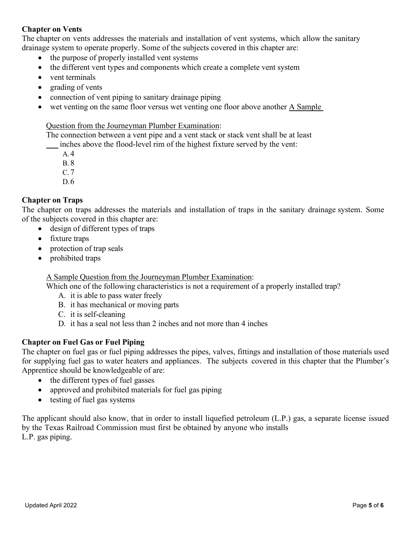### **Chapter on Vents**

The chapter on vents addresses the materials and installation of vent systems, which allow the sanitary drainage system to operate properly. Some of the subjects covered in this chapter are:

- the purpose of properly installed vent systems
- the different vent types and components which create a complete vent system
- vent terminals
- grading of vents
- connection of vent piping to sanitary drainage piping
- wet venting on the same floor versus wet venting one floor above another A Sample

#### Question from the Journeyman Plumber Examination:

The connection between a vent pipe and a vent stack or stack vent shall be at least

\_\_ inches above the flood-level rim of the highest fixture served by the vent:

A.4

- B. 8
- C. 7
- D.6

## **Chapter on Traps**

The chapter on traps addresses the materials and installation of traps in the sanitary drainage system. Some of the subjects covered in this chapter are:

- design of different types of traps
- fixture traps
- protection of trap seals
- prohibited traps

A Sample Question from the Journeyman Plumber Examination:

Which one of the following characteristics is not a requirement of a properly installed trap?

- A. it is able to pass water freely
- B. it has mechanical or moving parts
- C. it is self-cleaning
- D. it has a seal not less than 2 inches and not more than 4 inches

## **Chapter on Fuel Gas or Fuel Piping**

The chapter on fuel gas or fuel piping addresses the pipes, valves, fittings and installation of those materials used for supplying fuel gas to water heaters and appliances. The subjects covered in this chapter that the Plumber's Apprentice should be knowledgeable of are:

- the different types of fuel gasses
- approved and prohibited materials for fuel gas piping
- testing of fuel gas systems

The applicant should also know, that in order to install liquefied petroleum (L.P.) gas, a separate license issued by the Texas Railroad Commission must first be obtained by anyone who installs L.P. gas piping.